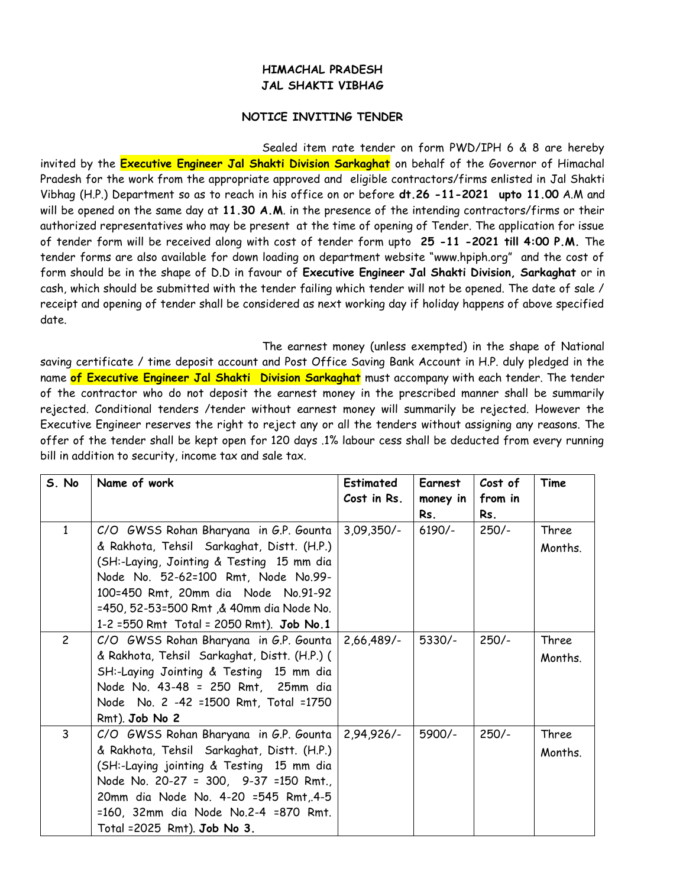## **HIMACHAL PRADESH JAL SHAKTI VIBHAG**

## **NOTICE INVITING TENDER**

Sealed item rate tender on form PWD/IPH 6 & 8 are hereby invited by the **Executive Engineer Jal Shakti Division Sarkaghat** on behalf of the Governor of Himachal Pradesh for the work from the appropriate approved and eligible contractors/firms enlisted in Jal Shakti Vibhag (H.P.) Department so as to reach in his office on or before **dt.26 -11-2021 upto 11.00** A.M and will be opened on the same day at **11.30 A.M**. in the presence of the intending contractors/firms or their authorized representatives who may be present at the time of opening of Tender. The application for issue of tender form will be received along with cost of tender form upto **25 -11 -2021 till 4:00 P.M.** The tender forms are also available for down loading on department website "www.hpiph.org" and the cost of form should be in the shape of D.D in favour of **Executive Engineer Jal Shakti Division, Sarkaghat** or in cash, which should be submitted with the tender failing which tender will not be opened. The date of sale / receipt and opening of tender shall be considered as next working day if holiday happens of above specified date.

The earnest money (unless exempted) in the shape of National saving certificate / time deposit account and Post Office Saving Bank Account in H.P. duly pledged in the name **of Executive Engineer Jal Shakti Division Sarkaghat** must accompany with each tender. The tender of the contractor who do not deposit the earnest money in the prescribed manner shall be summarily rejected. Conditional tenders /tender without earnest money will summarily be rejected. However the Executive Engineer reserves the right to reject any or all the tenders without assigning any reasons. The offer of the tender shall be kept open for 120 days .1% labour cess shall be deducted from every running bill in addition to security, income tax and sale tax.

| S. No          | Name of work                                 | <b>Estimated</b> | <b>Earnest</b> | Cost of | Time    |
|----------------|----------------------------------------------|------------------|----------------|---------|---------|
|                |                                              | Cost in Rs.      | money in       | from in |         |
|                |                                              |                  | Rs.            | Rs.     |         |
| 1              | C/O GWSS Rohan Bharyana in G.P. Gounta       | $3,09,350/-$     | $6190/-$       | $250/-$ | Three   |
|                | & Rakhota, Tehsil Sarkaghat, Distt. (H.P.)   |                  |                |         | Months. |
|                | (SH:-Laying, Jointing & Testing 15 mm dia    |                  |                |         |         |
|                | Node No. 52-62=100 Rmt, Node No.99-          |                  |                |         |         |
|                | 100=450 Rmt, 20mm dia Node No.91-92          |                  |                |         |         |
|                | =450, 52-53=500 Rmt, & 40mm dia Node No.     |                  |                |         |         |
|                | 1-2 = 550 Rmt Total = 2050 Rmt). Job No.1    |                  |                |         |         |
| $\overline{c}$ | C/O GWSS Rohan Bharyana in G.P. Gounta       | $2,66,489/$ -    | $5330/-$       | $250/-$ | Three   |
|                | & Rakhota, Tehsil Sarkaghat, Distt. (H.P.) ( |                  |                |         | Months. |
|                | SH:-Laying Jointing & Testing 15 mm dia      |                  |                |         |         |
|                | Node No. 43-48 = 250 Rmt, 25mm dia           |                  |                |         |         |
|                | Node No. 2 -42 =1500 Rmt, Total =1750        |                  |                |         |         |
|                | Rmt). Job No 2                               |                  |                |         |         |
| $\overline{3}$ | C/O GWSS Rohan Bharyana in G.P. Gounta       | $2,94,926/-$     | 5900/-         | $250/-$ | Three   |
|                | & Rakhota, Tehsil Sarkaghat, Distt. (H.P.)   |                  |                |         | Months. |
|                | (SH:-Laying jointing & Testing 15 mm dia     |                  |                |         |         |
|                | Node No. 20-27 = 300, 9-37 =150 Rmt.,        |                  |                |         |         |
|                | 20mm dia Node No. 4-20 =545 Rmt, 4-5         |                  |                |         |         |
|                | =160, 32mm dia Node No.2-4 =870 Rmt.         |                  |                |         |         |
|                | Total = 2025 Rmt). Job No 3.                 |                  |                |         |         |